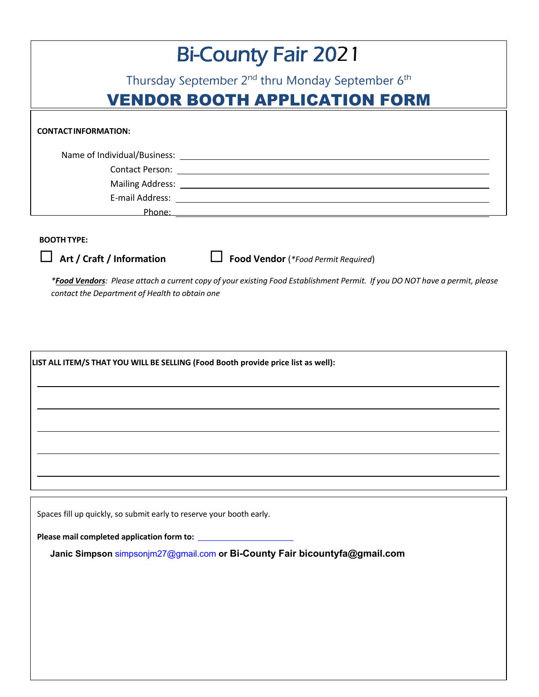| <b>Bi-County Fair 2021</b>                                               |                                                                 |  |
|--------------------------------------------------------------------------|-----------------------------------------------------------------|--|
| Thursday September 2 <sup>nd</sup> thru Monday September 6 <sup>th</sup> |                                                                 |  |
| <b>VENDOR BOOTH APPLICATION FORM</b>                                     |                                                                 |  |
| <b>CONTACTINFORMATION:</b>                                               |                                                                 |  |
| Name of Individual/Business: Name of Individual/Business:                |                                                                 |  |
|                                                                          |                                                                 |  |
|                                                                          |                                                                 |  |
|                                                                          |                                                                 |  |
| Phone:                                                                   | <u> 1989 - John Stone, Amerikaansk konstantinopler († 1989)</u> |  |

## **BOOTH TYPE:**

¨ **Art / Craft / Information** ¨ **Food Vendor** (*\*Food Permit Required*)

*\*Food Vendors: Please attach a current copy of your existing Food Establishment Permit. If you DO NOT have a permit, please contact the Department of Health to obtain one*

**LIST ALL ITEM/S THAT YOU WILL BE SELLING (Food Booth provide price list as well):**

Spaces fill up quickly, so submit early to reserve your booth early.

**Please mail completed application form to:**

**Janic Simpson** simpsonjm27@gmail.com **or Bi-County Fair bicountyfa@gmail.com**